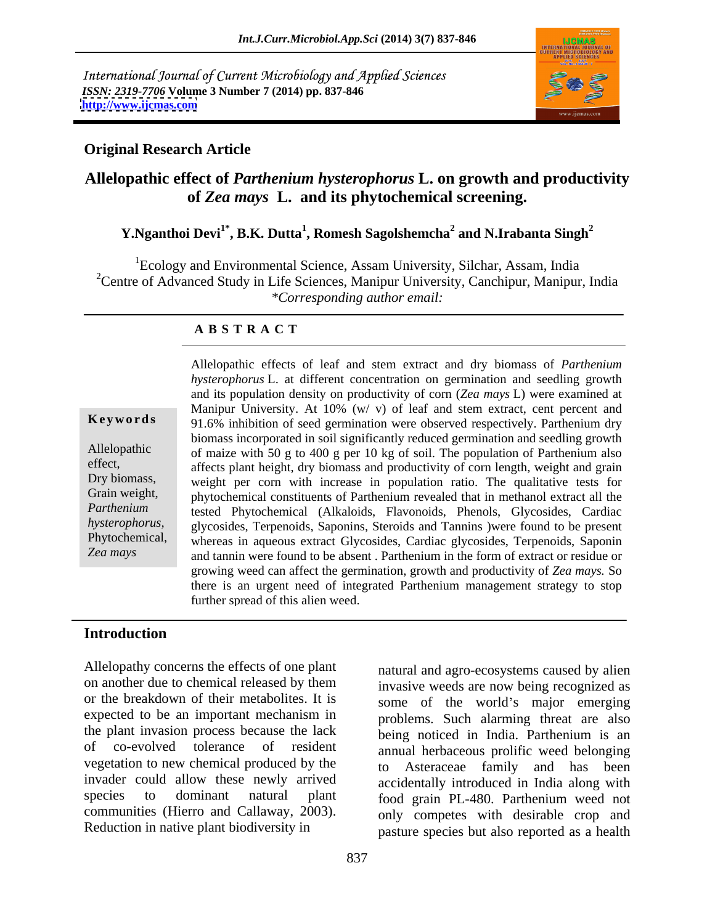International Journal of Current Microbiology and Applied Sciences *ISSN: 2319-7706* **Volume 3 Number 7 (2014) pp. 837-846 <http://www.ijcmas.com>**



#### **Original Research Article**

## **Allelopathic effect of** *Parthenium hysterophorus* **L. on growth and productivity of** *Zea mays* **L. and its phytochemical screening.**

#### <code>Y.Nganthoi Devi $^{1^*}$ , B.K. Dutta $^1$ , Romesh Sagolshemcha $^2$  and N.Irabanta Singh $^2$ </code>  **and N.Irabanta Singh<sup>2</sup>**

 ${}^{1}$ Ecology and Environmental Science, Assam University, Silchar, Assam, India <sup>2</sup>Centre of Advanced Study in Life Sciences, Manipur University, Canchipur, Manipur, India *\*Corresponding author email:* 

#### **A B S T R A C T**

**Keywords** 91.6% inhibition of seed germination were observed respectively. Parthenium dry Allelopathic of maize with 50 g to 400 g per 10 kg of soil. The population of Parthenium also effect, affects plant height, dry biomass and productivity of corn length, weight and grain Dry biomass, weight per corn with increase in population ratio. The qualitative tests for Grain weight, phytochemical constituents of Parthenium revealed that in methanol extract all the Parthenium tested Phytochemical (Alkaloids, Flavonoids, Phenols, Glycosides, Cardiac *hysterophorus,*  glycosides, Terpenoids, Saponins, Steroids and Tannins )were found to be present Phytochemical, whereas in aqueous extract Glycosides, Cardiac glycosides, Terpenoids, Saponin *Zea mays* and tannin were found to be absent . Parthenium in the form of extract or residue or Allelopathic effects of leaf and stem extract and dry biomass of *Parthenium hysterophorus* L. at different concentration on germination and seedling growth and its population density on productivity of corn (*Zea mays* L) were examined at Manipur University. At 10% (w/ v) of leaf and stem extract, cent percent and biomass incorporated in soil significantly reduced germination and seedling growth growing weed can affect the germination, growth and productivity of *Zea mays.* So there is an urgent need of integrated Parthenium management strategy to stop further spread of this alien weed.

#### **Introduction**

Allelopathy concerns the effects of one plant on another due to chemical released by them invasive weeds are now being recognized as or the breakdown of their metabolites. It is expected to be an important mechanism in the plant invasion process because the lack being noticed in India. Parthenium is an of co-evolved tolerance of resident annual herbaceous prolific weed belonging vegetation to new chemical produced by the to invader could allow these newly arrived accidentally introduced in India along with species to dominant natural plant food grain PL-480. Parthenium weed not communities (Hierro and Callaway, 2003).

Reduction in native plant biodiversity in pasture species but also reported as a health natural and agro-ecosystems caused by alien some of the world's major emerging problems. Such alarming threat are also Asteraceae family and has been only competes with desirable crop and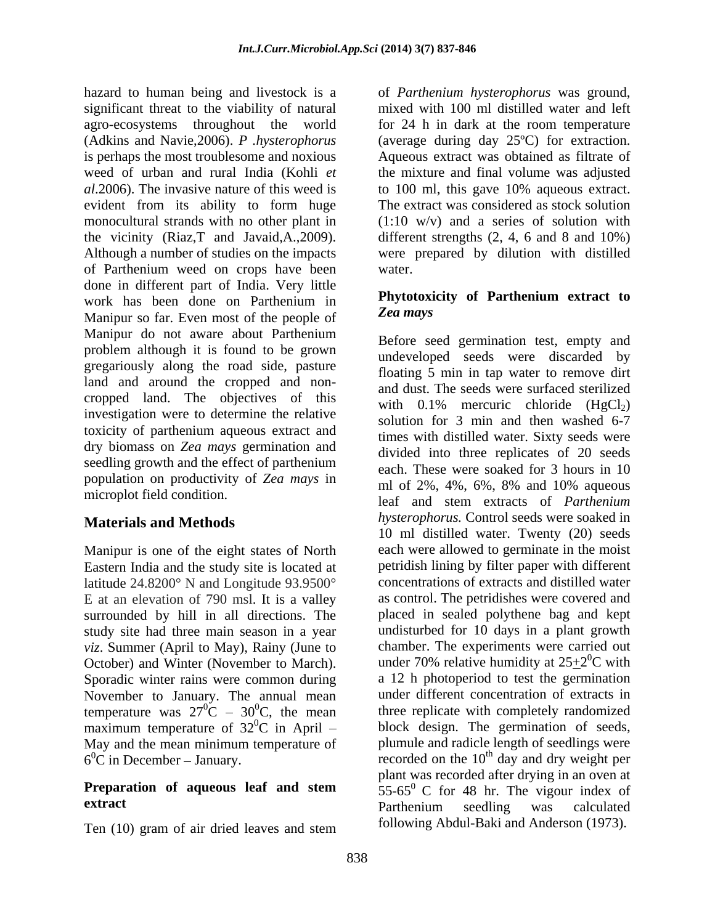hazard to human being and livestock is a of *Parthenium hysterophorus* was ground, significant threat to the viability of natural mixed with 100 ml distilled water and left agro-ecosystems throughout the world for 24 h in dark at the room temperature (Adkins and Navie,2006). *P .hysterophorus* (average during day 25ºC) for extraction. is perhaps the most troublesome and noxious Aqueous extract was obtained as filtrate of weed of urban and rural India (Kohli *et*  the mixture and final volume was adjusted *al*.2006). The invasive nature of this weed is evident from its ability to form huge monocultural strands with no other plant in (1:10 w/v) and a series of solution with the vicinity (Riaz,T and Javaid,A.,2009). different strengths (2, 4, 6 and 8 and 10%) Although a number of studies on the impacts were prepared by dilution with distilled of Parthenium weed on crops have been done in different part of India. Very little work has been done on Parthenium in **Phytotoxicity of Parthenium extract to** Manipur so far. Even most of the people of Zea mays Manipur do not aware about Parthenium problem although it is found to be grown gregariously along the road side, pasture land and around the cropped and non cropped land. The objectives of this investigation were to determine the relative toxicity of parthenium aqueous extract and dry biomass on *Zea mays* germination and seedling growth and the effect of parthenium population on productivity of *Zea mays* in  $\frac{\text{cuch.}}{\text{ml}}$  of 2%, 4%, 6%, 8% and 10% aqueous

Manipur is one of the eight states of North Eastern India and the study site is located at latitude 24.8200° N and Longitude 93.9500° E at an elevation of 790 msl. It is a valley surrounded by hill in all directions. The study site had three main season in a year *viz*. Summer (April to May), Rainy (June to October) and Winter (November to March). Sporadic winter rains were common during November to January. The annual mean temperature was  $27^0C - 30^0C$ , the mean maximum temperature of  $32^{\circ}$ C in April – May and the mean minimum temperature of

Ten (10) gram of air dried leaves and stem **IOIIOWING** About-Baki and Anderson (1973).

to 100 ml, this gave 10% aqueous extract. The extract was considered as stock solution water.

#### **Phytotoxicity of Parthenium extract to** *Zea mays*

microplot field condition.<br>
leaf and stem extracts of *Parthenium* **Materials and Methods** *hysterophorus*. Control seeds were soaked in  ${}^{0}C - 30{}^{0}C$ , the mean three replicate with completely randomized  $6^{\circ}$ C in December – January.<br>
recorded on the 10<sup>th</sup> day and dry weight per **Preparation of aqueous leaf and stem**  $55-65^\circ$  C for 48 hr. The vigour index of **extract extract extract extract extract extract extract extract extract extract extract extract extract extract extract extract extract extract extract extract extract extract e** Before seed germination test, empty and undeveloped seeds were discarded by floating 5 min in tap water to remove dirt and dust. The seeds were surfaced sterilized with  $0.1\%$  mercuric chloride  $(HgCl<sub>2</sub>)$ solution for 3 min and then washed 6-7 times with distilled water. Sixty seeds were divided into three replicates of 20 seeds each. These were soaked for 3 hours in 10 ml of 2%, 4%, 6%, 8% and 10% aqueous 10 ml distilled water. Twenty (20) seeds each were allowed to germinate in the moist petridish lining by filter paper with different concentrations of extracts and distilled water as control. The petridishes were covered and placed in sealed polythene bag and kept undisturbed for 10 days in a plant growth chamber. The experiments were carried out under 70% relative humidity at  $25+2$ <sup>0</sup>C with  ${}^{0}C$  with a 12 h photoperiod to test the germination under different concentration of extracts in block design. The germination of seeds, plumule and radicle length of seedlings were plant was recorded after drying in an oven at Parthenium seedling was calculated following Abdul-Baki and Anderson (1973).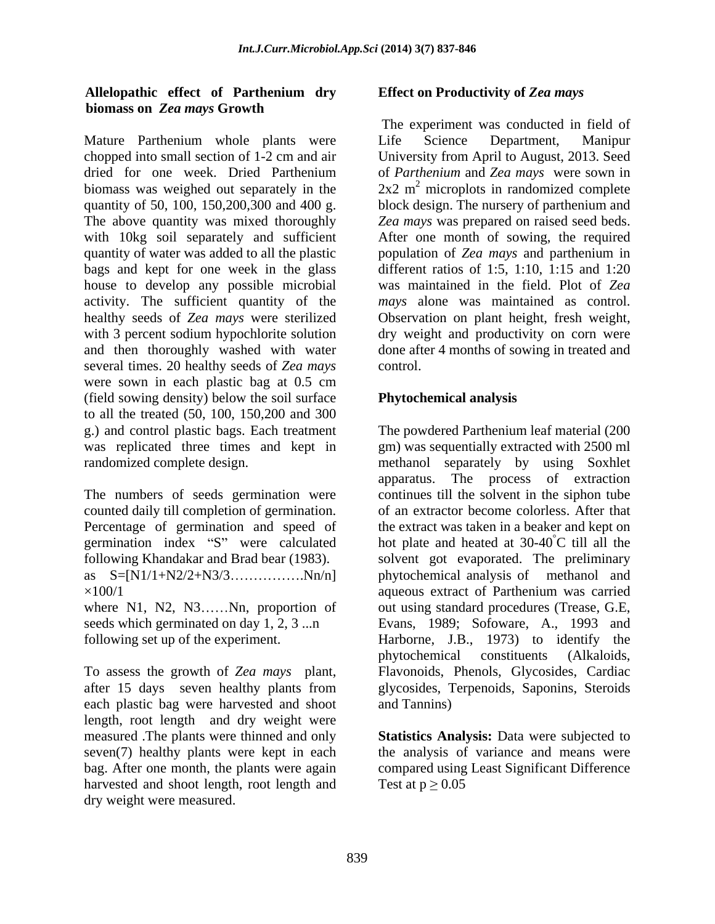#### **Allelopathic effect of Parthenium dry biomass on** *Zea mays* **Growth**

Mature Parthenium whole plants were Life Science Department, Manipur chopped into small section of 1-2 cm and air dried for one week. Dried Parthenium of *Parthenium* and *Zea mays* were sown in biomass was weighed out separately in the  $2x^2$  m<sup>2</sup> microplots in randomized complete quantity of 50, 100, 150,200,300 and 400 g. block design. The nursery of parthenium and The above quantity was mixed thoroughly *Zea mays* was prepared on raised seed beds. with 10kg soil separately and sufficient After one month of sowing, the required quantity of water was added to all the plastic population of *Zea mays* and parthenium in bags and kept for one week in the glass house to develop any possible microbial activity. The sufficient quantity of the healthy seeds of *Zea mays* were sterilized Observation on plant height, fresh weight, with 3 percent sodium hypochlorite solution dry weight and productivity on corn were and then thoroughly washed with water done after 4 months of sowing in treated and several times. 20 healthy seeds of *Zea mays* control. were sown in each plastic bag at 0.5 cm (field sowing density) below the soil surface to all the treated (50, 100, 150,200 and 300 g.) and control plastic bags. Each treatment The powdered Parthenium leaf material (200 was replicated three times and kept in randomized complete design. methanol separately by using Soxhlet

counted daily till completion of germination. germination index "S" were calculated

each plastic bag were harvested and shoot length, root length and dry weight were measured .The plants were thinned and only **Statistics Analysis:** Data were subjected to seven(7) healthy plants were kept in each the analysis of variance and means were bag. After one month, the plants were again compared using Least Significant Difference harvested and shoot length, root length and dry weight were measured.

### **Effect on Productivity of** *Zea mays*

The experiment was conducted in field of Life Science Department, Manipur University from April to August, 2013. Seed different ratios of 1:5, 1:10, 1:15 and 1:20 was maintained in the field. Plot of Zea *mays* alone was maintained as control. control.

### **Phytochemical analysis**

The numbers of seeds germination were continues till the solvent in the siphon tube Percentage of germination and speed of the extract was taken in a beaker and kept on following Khandakar and Brad bear (1983). solvent got evaporated. The preliminary as S=[N1/1+N2/2+N3/3.......................Nn/n] phytochemical analysis of methanol and ×100/1 aqueous extract of Parthenium was carried where N1, N2, N3......Nn, proportion of out using standard procedures (Trease, G.E, seeds which germinated on day 1, 2, 3 ...n Evans, 1989; Sofoware, A., 1993 and following set up of the experiment. Harborne, J.B., 1973) to identify the To assess the growth of *Zea mays* plant, Flavonoids, Phenols, Glycosides, Cardiac after 15 days seven healthy plants from glycosides, Terpenoids, Saponins, Steroids gm) was sequentially extracted with 2500 ml apparatus. The process of extraction of an extractor become colorless. After that hot plate and heated at  $30-40^{\circ}$ C till all the phytochemical constituents (Alkaloids, and Tannins)

Test at  $p \geq 0.05$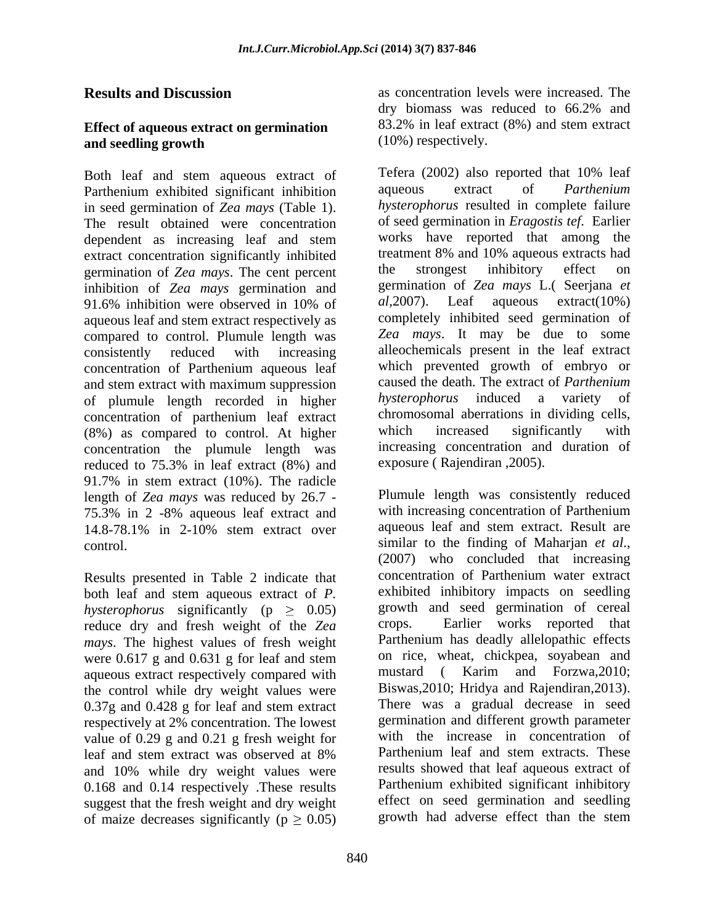#### **Effect of aqueous extract on germination and seedling growth** (10%) respectively.

Both leaf and stem aqueous extract of Tefera (2002) also reported that 10% leaf<br>Parthenium exhibited significant inhibition aqueous extract of *Parthenium* Parthenium exhibited significant inhibition in seed germination of *Zea mays* (Table 1). The result obtained were concentration extract concentration significantly inhibited<br>
extracts had<br>
extracts had<br>
extracts had<br>
extracts had<br>
extracts had<br>
extracts had<br>
extracts had<br>
extracts had<br>
extracts on<br>
the strongest inhibitory effect on germination of *Zea mays*. The cent percent inhibition of *Zea mays* germination and germination of *Zea mays* L. (Seerjana *et* 91.6% inhibition were observed in 10% of al, 2007). Leaf aqueous extract (10%) aqueous leaf and stem extract respectively as compared to control. Plumule length was concentration of Parthenium aqueous leaf and stem extract with maximum suppression and stem extract of *Parthenium*<br>of plumule length recorded in higher *hysterophorus* induced a variety of of plumule length recorded in higher concentration of parthenium leaf extract chromosomal aberrations in dividing cells,<br>(8%) as compared to control At higher which increased significantly with (8%) as compared to control. At higher concentration the plumule length was reduced to 75.3% in leaf extract (8%) and exposure (Rajendiran, 2005). 91.7% in stem extract (10%). The radicle length of *Zea mays* was reduced by 26.7 - 75.3% in 2 -8% aqueous leaf extract and

Results presented in Table 2 indicate that both leaf and stem aqueous extract of *P. hysterophorus* significantly ( $p \geq 0.05$ ) growth reduce dry and fresh weight of the  $Z_{eq}$  crops. reduce dry and fresh weight of the *Zea mays*. The highest values of fresh weight were 0.617 g and 0.631 g for leaf and stem on rice, wheat, chickpea, soyabean and<br>aqueous extract respectively compared with mustard (Karim and Forzwa.2010: aqueous extract respectively compared with the control while dry weight values were 0.37g and 0.428 g for leaf and stem extract respectively at 2% concentration. The lowest value of 0.29 g and 0.21 g fresh weight for with the increase in concentration of leaf and stem extract was observed at 8% Parthenium leaf and stem extracts. These and 10% while dry weight values were 0.168 and 0.14 respectively .These results suggest that the fresh weight and dry weight of maize decreases significantly ( $p \geq 0.05$ )

**Results and Discussion** as concentration levels were increased. The dry biomass was reduced to 66.2% and 83.2% in leaf extract (8%) and stem extract (10%) respectively.

dependent as increasing leaf and stem works have reported that among the 91.6% inhibition were observed in 10% of  $al$ , 2007). Leaf aqueous extract (10%) consistently reduced with increasing alleochemicals present in the leaf extract Tefera (2002) also reported that 10% leaf aqueous extract of *Parthenium hysterophorus* resulted in complete failure of seed germination in *Eragostis tef*. Earlier works have reported that among the treatment 8% and 10% aqueous extracts had the strongest inhibitory effect on germination of *Zea mays* L.( Seerjana *et al*,2007). Leaf aqueous extract(10%) completely inhibited seed germination of *Zea mays*. It may be due to some which prevented growth of embryo or caused the death. The extract of *Parthenium hysterophorus* induced a variety of chromosomal aberrations in dividing cells, which increased significantly with increasing concentration and duration of exposure ( Rajendiran ,2005).

14.8-78.1% in 2-10% stem extract over control. Similar to the finding of Maharjan *et al.*, (2007) who concluded that increasing leaf and stem extract was observed at 8% Parthenium leaf and stem extracts. These Plumule length was consistently reduced with increasing concentration of Parthenium aqueous leaf and stem extract. Result are similar to the finding of Maharjan *et al*., (2007) who concluded that increasing concentration of Parthenium water extract exhibited inhibitory impacts on seedling growth and seed germination of cereal Earlier works reported that Parthenium has deadly allelopathic effects on rice, wheat, chickpea, soyabean and mustard ( Karim and Forzwa,2010; Biswas,2010; Hridya and Rajendiran,2013). There was a gradual decrease in seed germination and different growth parameter with the increase in concentration of Parthenium leaf and stem extracts. These results showed that leaf aqueous extract of Parthenium exhibited significant inhibitory effect on seed germination and seedling growth had adverse effect than the stem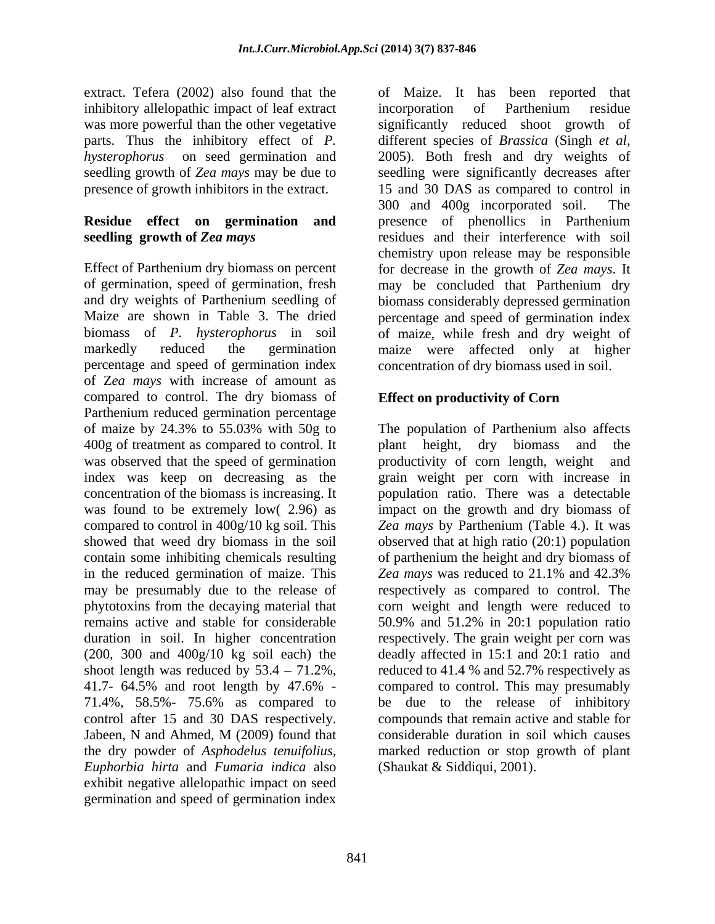extract. Tefera (2002) also found that the inhibitory allelopathic impact of leaf extract incorporation of Parthenium residue presence of growth inhibitors in the extract.

# **Residue effect on germination and**

of germination, speed of germination, fresh percentage and speed of germination index of Z*ea mays* with increase of amount as compared to control. The dry biomass of Parthenium reduced germination percentage 400g of treatment as compared to control. It a plant height, dry biomass and the was observed that the speed of germination productivity of corn length, weight and in the reduced germination of maize. This Zea mays was reduced to 21.1% and 42.3% (200, 300 and 400g/10 kg soil each) the shoot length was reduced by  $53.4 - 71.2\%$ , 41.7- 64.5% and root length by 47.6% the dry powder of *Asphodelus tenuifolius, Euphorbia hirta* and *Fumaria indica* also exhibit negative allelopathic impact on seed germination and speed of germination index

was more powerful than the other vegetative significantly reduced shoot growth of parts. Thus the inhibitory effect of *P.* different species of *Brassica* (Singh *et al, hysterophorus* on seed germination and 2005). Both fresh and dry weights of seedling growth of *Zea mays* may be due to seedling were significantly decreases after **seedling growth of** *Zea mays* residues and their interference with soil Effect of Parthenium dry biomass on percent for decrease in the growth of *Zea mays*. It and dry weights of Parthenium seedling of biomass considerably depressed germination Maize are shown in Table 3. The dried percentage and speed of germination index biomass of *P. hysterophorus* in soil of maize, while fresh and dry weight of markedly reduced the germination maize were affected only at higher of Maize. It has been reported that incorporation of Parthenium residue 15 and 30 DAS as compared to control in 300 and 400g incorporated soil. The presence of phenollics in Parthenium chemistry upon release may be responsible may be concluded that Parthenium dry concentration of dry biomass used in soil.

### **Effect on productivity of Corn**

of maize by 24.3% to 55.03% with 50g to The population of Parthenium also affects index was keep on decreasing as the grain weight per corn with increase in concentration of the biomass is increasing. It population ratio. There was a detectable was found to be extremely low( 2.96) as impact on the growth and dry biomass of compared to control in 400g/10 kg soil. This *Zea mays* by Parthenium (Table 4.). It was showed that weed dry biomass in the soil observed that at high ratio (20:1) population contain some inhibiting chemicals resulting of parthenium the height and dry biomass of may be presumably due to the release of respectively as compared to control. The phytotoxins from the decaying material that corn weight and length were reduced to remains active and stable for considerable 50.9% and 51.2% in 20:1 population ratio duration in soil. In higher concentration respectively. The grain weight per corn was 71.4%, 58.5%- 75.6% as compared to be due to the release of inhibitory control after 15 and 30 DAS respectively. compounds that remain active and stable for Jabeen, N and Ahmed, M (2009) found that plant height, dry biomass and the productivity of corn length, weight *Zea mays*was reduced to 21.1% and 42.3% deadly affected in 15:1 and 20:1 ratio and reduced to 41.4 % and 52.7% respectively as compared to control. This may presumably considerable duration in soil which causes marked reduction or stop growth of plant (Shaukat & Siddiqui, 2001).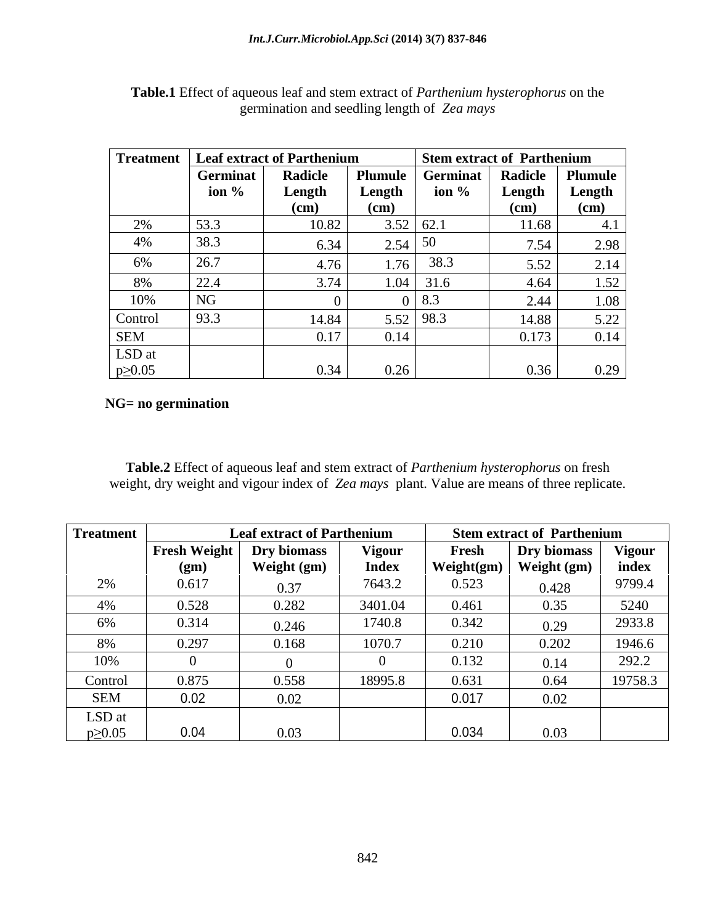|              |                                                        | Treatment   Leaf extract of Parthenium |                   |                   | Stem extract of Parthenium   |                                    |
|--------------|--------------------------------------------------------|----------------------------------------|-------------------|-------------------|------------------------------|------------------------------------|
|              | Germinat                                               | Radicle                                | Plumule           |                   | Germinat   Radicle   Plumule |                                    |
|              | ion $\%$                                               | Length                                 | Length            | ion $\%$          |                              | Length Length                      |
|              |                                                        | (CM)                                   | (c <sub>m</sub> ) |                   | $\frac{1}{2}$ (cm)           | (c <sub>m</sub> )<br>$\sim$ $\sim$ |
| $\angle 70$  | 53.3                                                   | 10.82                                  |                   | $3.52 \mid 62.1$  | 11.68                        |                                    |
| 4%           | $\begin{array}{ c c }\n 38.3 \\  \hline\n \end{array}$ | 6.34                                   | $2.54 \mid 50$    |                   | 7.54                         | 2.98                               |
| 6%           | 26.7                                                   |                                        | 76.               | 38.3              | 5.52                         | 2.14                               |
|              | 22.4                                                   | $.74$                                  |                   |                   | 4.64                         | 1.52                               |
| 8%           |                                                        |                                        |                   | $1.04$ 31.6       |                              |                                    |
| 10%          | NG                                                     |                                        |                   | $\vert 8.3 \vert$ | $\bigcap$ $\bigcap$<br>Z.44  | 1.08                               |
| Control      | 93.3                                                   | 14.84                                  |                   | 5.52   98.3       | 14.88                        |                                    |
| <b>SEM</b>   |                                                        | 0.17 <sup>1</sup>                      |                   |                   | 0.173                        | 0.14                               |
| LSD at       |                                                        |                                        |                   |                   |                              |                                    |
| $p\geq 0.05$ |                                                        | 0.34                                   |                   |                   | 0.36                         | 0.29                               |

| Table.1 Effect of aqueous leaf and stem extract of <i>Parthenium hysterophorus</i> on the |  |
|-------------------------------------------------------------------------------------------|--|
| $\mu$ mation and seedling length of $\lambda$<br>Zea mays                                 |  |

#### **NG= no germination**

**Table.2** Effect of aqueous leaf and stem extract of *Parthenium hysterophorus* on fresh weight, dry weight and vigour index of *Zea mays* plant. Value are means of three replicate.

| <b>Treatment</b> |                     | <b>Leaf extract of Parthenium</b> |               |            | <b>Stem extract of Parthenium</b> |                                        |
|------------------|---------------------|-----------------------------------|---------------|------------|-----------------------------------|----------------------------------------|
|                  | <b>Fresh Weight</b> |                                   |               |            |                                   | <b>Vigour</b>                          |
|                  |                     | Dry biomass                       | <b>Vigour</b> | Fresh      | Dry biomass                       |                                        |
|                  | $\mathbf{g}$        | Weight (gm)                       | <b>Index</b>  | Weight(gm) | Weight (gm)                       | index                                  |
| 270              | 0.617               | 0.37                              | 7643.2        | 0.523      | 0.428                             | 9799.4                                 |
| 4%               | 0.528               | 0.282                             | 3401.04       | 0.461      | 0.35                              | 5240                                   |
| 6%               | 0.314               | 0.246                             | 1740.8        | 0.342      | 0.29                              | 2933.8                                 |
| 8%               | 0.297               | 0.168                             | 1070.7        | 0.210      | 0.202                             | 1946.6                                 |
| 10%              |                     |                                   |               | 0.132      | 0.14                              | 2022<br>$\Delta$ ) $\Delta$ , $\Delta$ |
| Control          | 0.875               | 0.558                             | 18995.8       | 0.631      | 0.64                              | 19758.3                                |
| <b>SEM</b>       | 0.02                | 0.02                              |               | 0.017      | 0.02                              |                                        |
| LSD at           |                     |                                   |               |            |                                   |                                        |
| $p \geq 0.05$    |                     | 0.03                              |               | 0.034      | 0.03                              |                                        |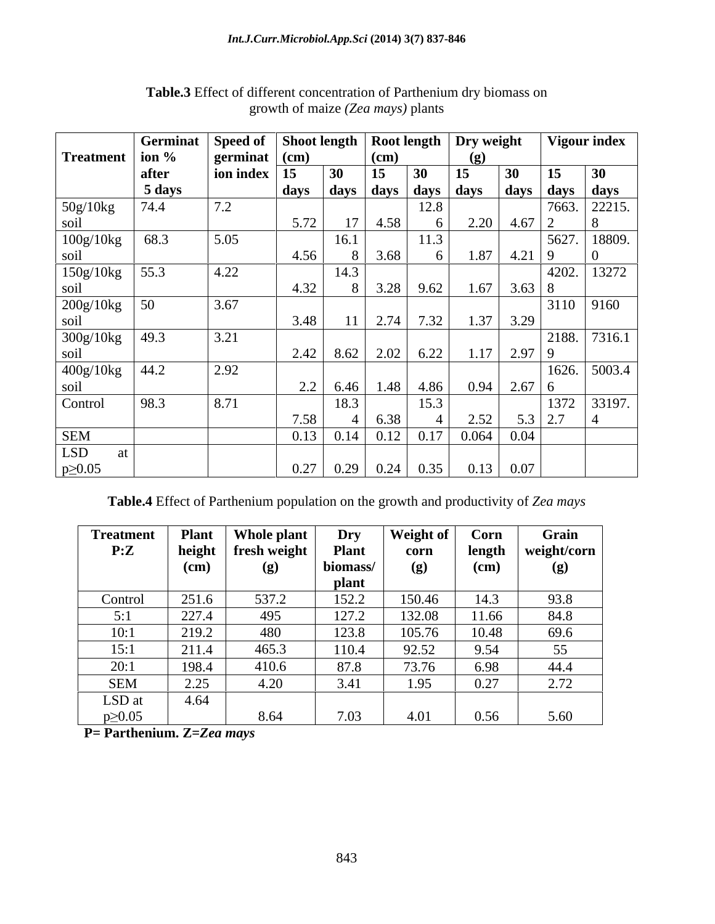|                   | Germinat         | Speed of Shoot length   Root length   Dry weight |                                      |                |             |      |                          |               | Vigour index       |
|-------------------|------------------|--------------------------------------------------|--------------------------------------|----------------|-------------|------|--------------------------|---------------|--------------------|
| Treatment   ion % |                  | germinat $\vert$ (cm)                            |                                      |                | (cm)        |      |                          |               |                    |
|                   | after            | $\vert$ ion index $\vert$ 15                     | $\boxed{30}$                         |                | 15<br>30    | 15   | 30                       | 15            | 30                 |
|                   | 5 days           |                                                  | days days days days days             |                |             |      |                          |               | days   days   days |
| 50g/10kg          | 74.4             | 7.2                                              |                                      |                |             | 12.8 |                          |               | 7663. 22215.       |
| soil              |                  |                                                  | 5.72                                 | $\overline{1}$ | 4.58        |      | 2.20                     | $4.67 \mid 2$ |                    |
| 100g/10kg         | 68.3             | 5.05                                             |                                      | 16.1           |             | 11.3 |                          | 5627.         | 18809.             |
| soil              |                  |                                                  | 4.56                                 |                | 3.68        |      | 1.87<br>$4.21$ 9         |               |                    |
| 150g/10kg         | $\frac{55.3}{ }$ | 4.22                                             |                                      | 14.3           |             |      |                          |               | 4202. 13272        |
| soil              |                  |                                                  | 4.32                                 |                | $3.28$ 9.62 |      | 1.67<br>$3.63 \,   \, 8$ |               |                    |
| 200g/10kg         | $\vert$ 50       | 3.67                                             |                                      |                |             |      |                          |               | $3110$ 9160        |
| soil              |                  |                                                  | 3.48                                 |                | $2.74$ 7.32 |      | 1.37<br>3.29             |               |                    |
| 300g/10kg         | 49.3             | 3.21                                             |                                      |                |             |      |                          | 2188.         | 7316.1             |
| soil              |                  |                                                  | $2.42$   8.62   2.02   6.22          |                |             |      | $1.17$ 2.97 9            |               |                    |
| 400g/10kg         | 44.2             | 2.92                                             |                                      |                |             |      |                          |               | $1626.$ 5003.4     |
| soil              |                  |                                                  | $\Omega$<br>$\overline{\phantom{a}}$ | 6.46           | 1.48        | 4.86 | 0.94<br>$2.67 \,   \, 6$ |               |                    |
| Control           | 98.3             | 8.71                                             |                                      | 18.3           |             | 15.3 |                          | 1372          | 33197.             |
|                   |                  |                                                  | 7.58                                 |                | 6.38        |      | 2.52                     | $5.3$ 2.7     |                    |
| <b>SEM</b>        |                  |                                                  | 0.13                                 | 0.14           | $0.12$ 0.17 |      | 0.064<br>0.04            |               |                    |
| LSD               |                  |                                                  |                                      |                |             |      |                          |               |                    |
| $p \geq 0.05$     |                  |                                                  | 0.27                                 | 0.29           | $0.24$ 0.35 |      | $0.13 \,   \, 0.07 \,  $ |               |                    |

### **Table.3** Effect of different concentration of Parthenium dry biomass on growth of maize *(Zea mays)* plants

**Table.4** Effect of Parthenium population on the growth and productivity of *Zea mays*

| <b>Treatment</b> | <b>Plant</b> | Who.<br>le plant | <b>Dry</b>   | Weight of                       | Corn   | Grain       |
|------------------|--------------|------------------|--------------|---------------------------------|--------|-------------|
| P:Z              | height       | fresh weight     | <b>Plant</b> | corn                            | length | weight/corn |
|                  | (cm)         | (g)              | biomass/     | (g)                             | (cm)   | (g)         |
|                  |              |                  | <b>plant</b> |                                 |        |             |
| Control          | 251.6        | 537.2            | 152.2        | 150.46                          | 14.3   | 93.8        |
|                  | 227.4        | 495              | 127.2        | 132.08                          | 11.66  | 84.8        |
| 10:1             | 219.2        | 480              | 123.8        | 105.76                          | 10.48  | 69.6        |
| 15:1             | 211.4        | 465.3            | 110.4        | 92.52                           | 9.54   | 55          |
| 20:1             | 198.4        | 410.6            | 87.8         | 73.76                           | 6.98   | 44.4        |
| <b>SEM</b>       | 2.25         | 4.20             | 3.41         | $\sim$ $\sim$ $\sim$<br>$.95 -$ | 0.27   | 2.72        |
| LSD at           | 4.64         |                  |              |                                 |        |             |
| $p \geq 0.05$    |              | 8.64             | 7.03         | 4.01                            | 0.56   | 5.60        |

**P= Parthenium. Z=***Zea mays*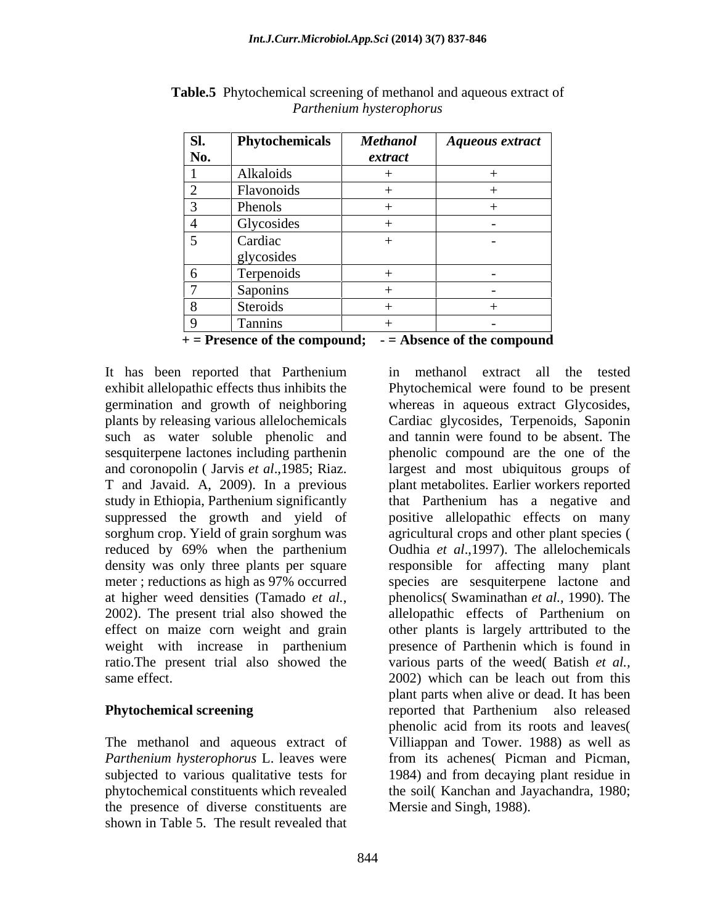| SI.                      | <b>Phytochemicals</b>          | <b>Methanol</b> | <b>Aqueous extract</b>   |
|--------------------------|--------------------------------|-----------------|--------------------------|
| No.                      |                                | extract         |                          |
|                          | Alkaloids                      |                 |                          |
| $\overline{a}$           | Flavonoids                     |                 |                          |
|                          | Phenols                        |                 |                          |
|                          | Glycosides                     |                 | $\sim$                   |
| $\overline{\phantom{0}}$ | Cardiac                        |                 | $\overline{\phantom{0}}$ |
|                          | glycosides                     |                 |                          |
| 6                        | Terpenoids                     |                 | $\overline{\phantom{0}}$ |
| $\overline{\phantom{0}}$ | Saponins                       |                 | $\overline{\phantom{0}}$ |
| 8 <sup>8</sup>           | Steroids                       |                 |                          |
| $\Omega$                 | $\sim$<br>$\cdot$ .<br>Tannins |                 | $\overline{\phantom{0}}$ |

**Table.5** Phytochemical screening of methanol and aqueous extract of *Parthenium hysterophorus*

**+ = Presence of the compound; - = Absence of the compound**

It has been reported that Parthenium such as water soluble phenolic and sesquiterpene lactones including parthenin reduced by 69% when the parthenium same effect. 2002) which can be leach out from this

The methanol and aqueous extract of the presence of diverse constituents are shown in Table 5. The result revealed that

exhibit allelopathic effects thus inhibits the Phytochemical were found to be present germination and growth of neighboring whereas in aqueous extract Glycosides, plants by releasing various allelochemicals Cardiac glycosides, Terpenoids, Saponin and coronopolin ( Jarvis *et al*.,1985; Riaz. largest and most ubiquitous groups of T and Javaid. A, 2009). In a previous plant metabolites. Earlier workers reported study in Ethiopia, Parthenium significantly that Parthenium has a negative and suppressed the growth and yield of positive allelopathic effects on many sorghum crop. Yield of grain sorghum was agricultural crops and other plant species ( density was only three plants per square responsible for affecting many plant meter ; reductions as high as 97% occurred species are sesquiterpene lactone and at higher weed densities (Tamado *et al.*, phenolics (Swaminathan *et al.*, 1990). The 2002). The present trial also showed the allelopathic effects of Parthenium on effect on maize corn weight and grain other plants is largely arttributed to the weight with increase in parthenium presence of Parthenin which is found in ratio. The present trial also showed the various parts of the weed (Batish *et al.*, **Phytochemical screening** reported that Parthenium also released *Parthenium hysterophorus* L. leaves were from its achenes( Picman and Picman, subjected to various qualitative tests for 1984) and from decaying plant residue in phytochemical constituents which revealed the soil( Kanchan and Jayachandra, 1980; in methanol extract all the tested and tannin were found to be absent. The phenolic compound are the one of the Oudhia *et al*.,1997). The allelochemicals phenolics( Swaminathan *et al.,* 1990). The allelopathic effects of Parthenium on 2002) which can be leach out from this plant parts when alive or dead. It has been phenolic acid from its roots and leaves( Villiappan and Tower. 1988) as well as Mersie and Singh, 1988).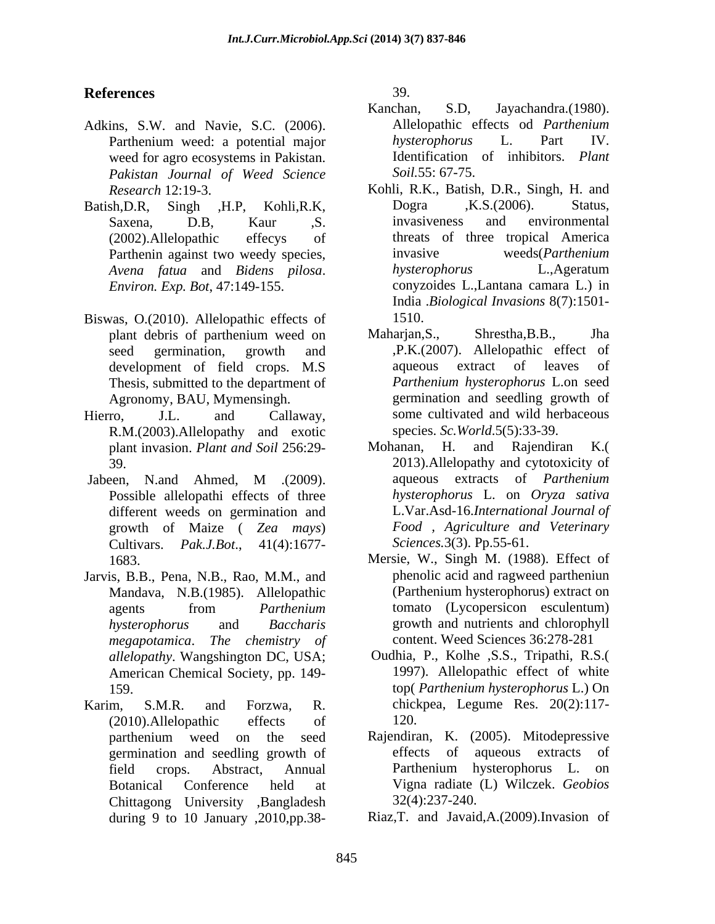## **References**

- Adkins, S.W. and Navie, S.C. (2006). weed for agro ecosystems in Pakistan. *Pakistan Journal of Weed Science*
- *Environ. Exp. Bot*, 47:149-155.
- Biswas, O.(2010). Allelopathic effects of 1510. Thesis, submitted to the department of
- R.M.(2003).Allelopathy and exotic species. Sc. World.5(5):33-39.<br>
plant invasion. *Plant and Soil* 256:29- Mohanan, H. and Rajendiran
- Possible allelopathi effects of three different weeds on germination and growth of Maize ( *Zea mays*) Cultivars. *Pak.J.Bot*., 41(4):1677-
- Jarvis, B.B., Pena, N.B., Rao, M.M., and Mandava, N.B.(1985). Allelopathic *megapotamica*. *The chemistry of* American Chemical Society, pp. 149-
- Karim, S.M.R. and Forzwa, R. chickpea, Legume Res. 20(2):117- (2010).Allelopathic effects of Chittagong University ,Bangladesh during 9 to 10 January ,2010,pp.38-

39.

- Parthenium weed: a potential major hysterophorus L. Part IV. Kanchan, S.D, Jayachandra.(1980). Allelopathic effects od *Parthenium hysterophorus* L. Part IV. Identification of inhibitors. *Plant Soil.*55: 67-75.
- *Research* 12:19-3. Kohli, R.K., Batish, D.R., Singh, H. and Batish,D.R, Singh ,H.P, Kohli,R.K, Dogra ,K.S.(2006). Status,<br>Saxena, D.B, Kaur ,S. invasiveness and environmental (2002).Allelopathic effecys of threats of three tropical America Parthenin against two weedy species, invasive weeds (Parthenium *Avena fatua* and *Bidens pilosa*. Dogra ,K.S.(2006). Status, invasiveness and environmental invasive weeds(*Parthenium hysterophorus* L.,Ageratum conyzoides L.,Lantana camara L.) in India .*Biological Invasions* 8(7):1501- 1510.
- plant debris of parthenium weed on Maharjan, S., Shrestha, B.B., Jha seed germination, growth and ,P.K.(2007). Allelopathic effect of development of field crops. M.S aqueous extract of leaves of Agronomy, BAU, Mymensingh. germination and seedling growth of Hierro, J.L. and Callaway, some cultivated and wild herbaceous Maharjan,S., Shrestha,B.B., Jha aqueous extract of leaves of *Parthenium hysterophorus* L.on seed species. *Sc.World*.5(5):33-39.
- plant invasion. *Plant and Soil* 256:29- 39. 2013).Allelopathy and cytotoxicity of Jabeen, N.and Ahmed, M .(2009). aqueous extracts of *Parthenium* Mohanan, H. and Rajendiran K.( aqueous extracts of *Parthenium hysterophorus* L. on *Oryza sativa* L.Var.Asd-16.*International Journal of Food , Agriculture and Veterinary Sciences.*3(3). Pp.55-61.
	- 1683. Mersie, W., Singh M. (1988). Effect of agents from *Parthenium* tomato (Lycopersicon esculentum) *hysterophorus* and *Baccharis*  growth and nutrients and chlorophyll phenolic acid and ragweed partheniun (Parthenium hysterophorus) extract on tomato (Lycopersicon esculentum) content. Weed Sciences 36:278-281
	- *allelopathy*. Wangshington DC, USA; Oudhia, P., Kolhe ,S.S., Tripathi, R.S.( 159. top( *Parthenium hysterophorus* L.) On 1997). Allelopathic effect of white 120.
	- parthenium weed on the seed Rajendiran, K. (2005). Mitodepressive germination and seedling growth of field crops. Abstract, Annual Botanical Conference held at Vigna radiate (L) Wilczek. *Geobios*  Rajendiran, K. (2005). Mitodepressive effects of aqueous extracts of Parthenium hysterophorus L. on 32(4):237-240.
		- Riaz,T. and Javaid,A.(2009).Invasion of